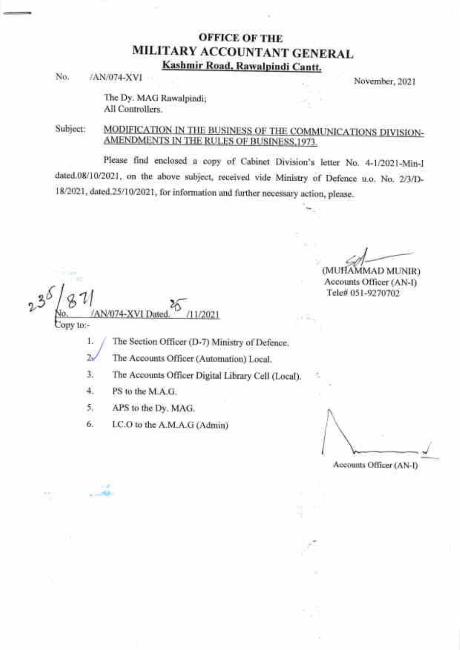## OFFICE OF THE MILITARY ACCOUNTANT GENERAL Kashmir Road, Rawalpindi Cantt.

No. *iAN/074-XVI* November, 2021

The Dy. MAG Rawalpindi; All Controllers.

### MODIFICATION IN THE BUSINESS OF THE COMMUNICATIONS DIVISION-Subject: AMENDMENTS IN THE RULES OF BUSINESS, 1973.

Please find enclosed a copy of Cabinet Division's letter No. 4-112021-Min-I dated.08/101202l, on the above subject, received vide Ministry of Defence u.o. No. Z/3/D-18/2021, dated.25/10/2021, for information and further necessary action, please.

(MUHAMMAD MUNIR) Accounts Officer (AN-D Tele# 051-927A702

{ D 811 W  $2^{\circ}$ 1/074-XVI Dater 1/2021  $conv$  to:-

The Section Officer (D-7) Ministry of Defence. i. /

The Accounts Officer (Automation) Local. ,/

The Accounts Officer Digital Library Cell (Local) 3

PS to the M.A.G. 4

,;p  $-88.$ 

APS to the Dy. MAG. 5

I.C.O to the A.M.A.G (Admin) 6

Accounts Officer (AN-l)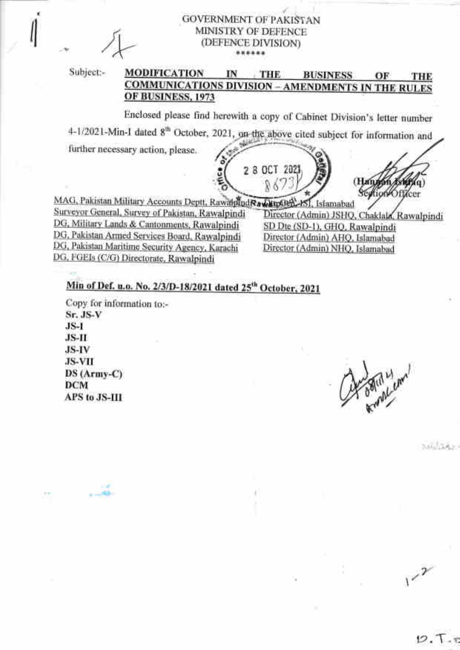**GOVERNMENT OF PAKISTAN** MINISTRY OF DEFENCE (DEFENCE DIVISION) \*\*\*\*\*\*

Subject:-

#### **MODIFICATION** IN THE. **BUSINESS** OF THE **COMMUNICATIONS DIVISION - AMENDMENTS IN THE RULES** OF BUSINESS, 1973

Enclosed please find herewith a copy of Cabinet Division's letter number

4-1/2021-Min-I dated 8<sup>th</sup> October, 2021, 9a-the above cited subject for information and

further necessary action, please.



dion Officer

MAG, Pakistan Military Accounts Deptt, RawahnodRawkinGer, 151, Islamabad Surveyor General, Survey of Pakistan, Rawalpindi DG, Military Lands & Cantonments, Rawalpindi DG, Pakistan Armed Services Board, Rawalpindi DG, Pakistan Maritime Security Agency, Karachi DG, FGEIs (C/G) Directorate, Rawalpindi

Director (Admin) JSHQ, Chaklala, Rawalpindi SD Dte (SD-1), GHQ, Rawalpindi Director (Admin) AHQ, Islamabad Director (Admin) NHQ, Islamabad

# Min of Def. u.o. No. 2/3/D-18/2021 dated 25<sup>th</sup> October, 2021

Copy for information to:- $Sr.$  JS- $V$  $JS-I$ JS-H JS-IV **JS-VII**  $DS(Army-C)$ **DCM** APS to JS-III

G. Bright Lenn

 $1^{2^{2}}$ 

Salarian.